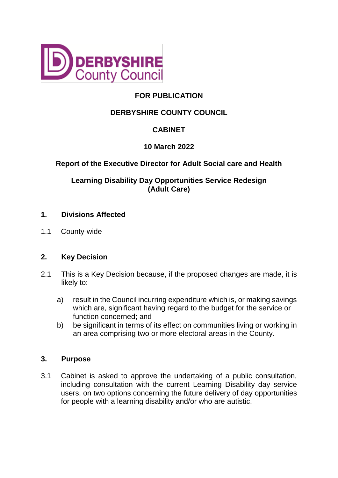

# **FOR PUBLICATION**

# **DERBYSHIRE COUNTY COUNCIL**

# **CABINET**

# **10 March 2022**

# **Report of the Executive Director for Adult Social care and Health**

# **Learning Disability Day Opportunities Service Redesign (Adult Care)**

### **1. Divisions Affected**

1.1 County-wide

# **2. Key Decision**

- 2.1 This is a Key Decision because, if the proposed changes are made, it is likely to:
	- a) result in the Council incurring expenditure which is, or making savings which are, significant having regard to the budget for the service or function concerned; and
	- b) be significant in terms of its effect on communities living or working in an area comprising two or more electoral areas in the County.

#### **3. Purpose**

3.1 Cabinet is asked to approve the undertaking of a public consultation, including consultation with the current Learning Disability day service users, on two options concerning the future delivery of day opportunities for people with a learning disability and/or who are autistic.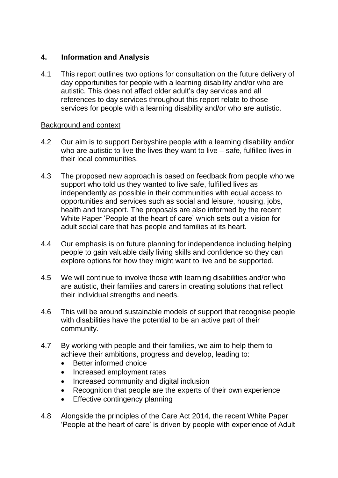# **4. Information and Analysis**

4.1 This report outlines two options for consultation on the future delivery of day opportunities for people with a learning disability and/or who are autistic. This does not affect older adult's day services and all references to day services throughout this report relate to those services for people with a learning disability and/or who are autistic.

### Background and context

- 4.2 Our aim is to support Derbyshire people with a learning disability and/or who are autistic to live the lives they want to live – safe, fulfilled lives in their local communities.
- 4.3 The proposed new approach is based on feedback from people who we support who told us they wanted to live safe, fulfilled lives as independently as possible in their communities with equal access to opportunities and services such as social and leisure, housing, jobs, health and transport. The proposals are also informed by the recent White Paper 'People at the heart of care' which sets out a vision for adult social care that has people and families at its heart.
- 4.4 Our emphasis is on future planning for independence including helping people to gain valuable daily living skills and confidence so they can explore options for how they might want to live and be supported.
- 4.5 We will continue to involve those with learning disabilities and/or who are autistic, their families and carers in creating solutions that reflect their individual strengths and needs.
- 4.6 This will be around sustainable models of support that recognise people with disabilities have the potential to be an active part of their community.
- 4.7 By working with people and their families, we aim to help them to achieve their ambitions, progress and develop, leading to:
	- Better informed choice
	- Increased employment rates
	- Increased community and digital inclusion
	- Recognition that people are the experts of their own experience
	- Effective contingency planning
- 4.8 Alongside the principles of the Care Act 2014, the recent White Paper 'People at the heart of care' is driven by people with experience of Adult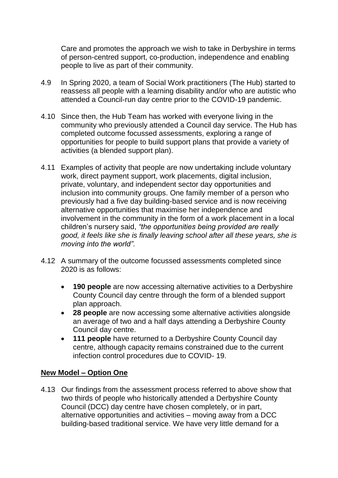Care and promotes the approach we wish to take in Derbyshire in terms of person-centred support, co-production, independence and enabling people to live as part of their community.

- 4.9 In Spring 2020, a team of Social Work practitioners (The Hub) started to reassess all people with a learning disability and/or who are autistic who attended a Council-run day centre prior to the COVID-19 pandemic.
- 4.10 Since then, the Hub Team has worked with everyone living in the community who previously attended a Council day service. The Hub has completed outcome focussed assessments, exploring a range of opportunities for people to build support plans that provide a variety of activities (a blended support plan).
- 4.11 Examples of activity that people are now undertaking include voluntary work, direct payment support, work placements, digital inclusion, private, voluntary, and independent sector day opportunities and inclusion into community groups. One family member of a person who previously had a five day building-based service and is now receiving alternative opportunities that maximise her independence and involvement in the community in the form of a work placement in a local children's nursery said, *"the opportunities being provided are really good, it feels like she is finally leaving school after all these years, she is moving into the world"*.
- 4.12 A summary of the outcome focussed assessments completed since 2020 is as follows:
	- **190 people** are now accessing alternative activities to a Derbyshire County Council day centre through the form of a blended support plan approach.
	- **28 people** are now accessing some alternative activities alongside an average of two and a half days attending a Derbyshire County Council day centre.
	- **111 people** have returned to a Derbyshire County Council day centre, although capacity remains constrained due to the current infection control procedures due to COVID- 19.

# **New Model – Option One**

4.13 Our findings from the assessment process referred to above show that two thirds of people who historically attended a Derbyshire County Council (DCC) day centre have chosen completely, or in part, alternative opportunities and activities – moving away from a DCC building-based traditional service. We have very little demand for a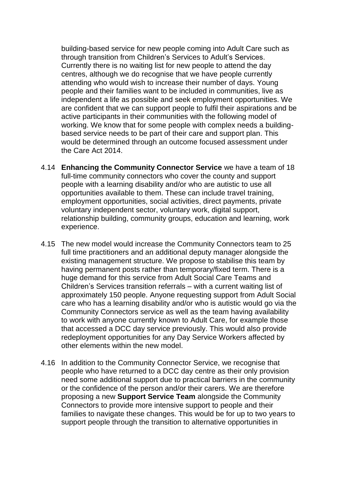building-based service for new people coming into Adult Care such as through transition from Children's Services to Adult's Services. Currently there is no waiting list for new people to attend the day centres, although we do recognise that we have people currently attending who would wish to increase their number of days. Young people and their families want to be included in communities, live as independent a life as possible and seek employment opportunities. We are confident that we can support people to fulfil their aspirations and be active participants in their communities with the following model of working. We know that for some people with complex needs a buildingbased service needs to be part of their care and support plan. This would be determined through an outcome focused assessment under the Care Act 2014.

- 4.14 **Enhancing the Community Connector Service** we have a team of 18 full-time community connectors who cover the county and support people with a learning disability and/or who are autistic to use all opportunities available to them. These can include travel training, employment opportunities, social activities, direct payments, private voluntary independent sector, voluntary work, digital support, relationship building, community groups, education and learning, work experience.
- 4.15 The new model would increase the Community Connectors team to 25 full time practitioners and an additional deputy manager alongside the existing management structure. We propose to stabilise this team by having permanent posts rather than temporary/fixed term. There is a huge demand for this service from Adult Social Care Teams and Children's Services transition referrals – with a current waiting list of approximately 150 people. Anyone requesting support from Adult Social care who has a learning disability and/or who is autistic would go via the Community Connectors service as well as the team having availability to work with anyone currently known to Adult Care, for example those that accessed a DCC day service previously. This would also provide redeployment opportunities for any Day Service Workers affected by other elements within the new model.
- 4.16 In addition to the Community Connector Service, we recognise that people who have returned to a DCC day centre as their only provision need some additional support due to practical barriers in the community or the confidence of the person and/or their carers. We are therefore proposing a new **Support Service Team** alongside the Community Connectors to provide more intensive support to people and their families to navigate these changes. This would be for up to two years to support people through the transition to alternative opportunities in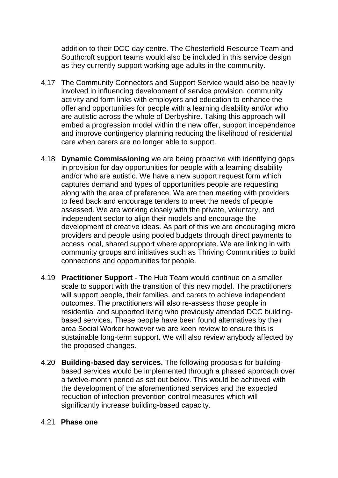addition to their DCC day centre. The Chesterfield Resource Team and Southcroft support teams would also be included in this service design as they currently support working age adults in the community.

- 4.17 The Community Connectors and Support Service would also be heavily involved in influencing development of service provision, community activity and form links with employers and education to enhance the offer and opportunities for people with a learning disability and/or who are autistic across the whole of Derbyshire. Taking this approach will embed a progression model within the new offer, support independence and improve contingency planning reducing the likelihood of residential care when carers are no longer able to support.
- 4.18 **Dynamic Commissioning** we are being proactive with identifying gaps in provision for day opportunities for people with a learning disability and/or who are autistic. We have a new support request form which captures demand and types of opportunities people are requesting along with the area of preference. We are then meeting with providers to feed back and encourage tenders to meet the needs of people assessed. We are working closely with the private, voluntary, and independent sector to align their models and encourage the development of creative ideas. As part of this we are encouraging micro providers and people using pooled budgets through direct payments to access local, shared support where appropriate. We are linking in with community groups and initiatives such as Thriving Communities to build connections and opportunities for people.
- 4.19 **Practitioner Support** The Hub Team would continue on a smaller scale to support with the transition of this new model. The practitioners will support people, their families, and carers to achieve independent outcomes. The practitioners will also re-assess those people in residential and supported living who previously attended DCC buildingbased services. These people have been found alternatives by their area Social Worker however we are keen review to ensure this is sustainable long-term support. We will also review anybody affected by the proposed changes.
- 4.20 **Building-based day services.** The following proposals for buildingbased services would be implemented through a phased approach over a twelve-month period as set out below. This would be achieved with the development of the aforementioned services and the expected reduction of infection prevention control measures which will significantly increase building-based capacity.

#### 4.21 **Phase one**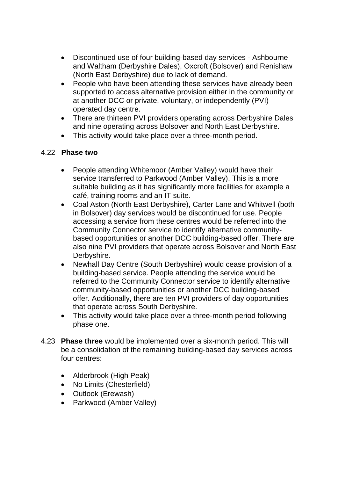- Discontinued use of four building-based day services Ashbourne and Waltham (Derbyshire Dales), Oxcroft (Bolsover) and Renishaw (North East Derbyshire) due to lack of demand.
- People who have been attending these services have already been supported to access alternative provision either in the community or at another DCC or private, voluntary, or independently (PVI) operated day centre.
- There are thirteen PVI providers operating across Derbyshire Dales and nine operating across Bolsover and North East Derbyshire.
- This activity would take place over a three-month period.

# 4.22 **Phase two**

- People attending Whitemoor (Amber Valley) would have their service transferred to Parkwood (Amber Valley). This is a more suitable building as it has significantly more facilities for example a café, training rooms and an IT suite.
- Coal Aston (North East Derbyshire), Carter Lane and Whitwell (both in Bolsover) day services would be discontinued for use. People accessing a service from these centres would be referred into the Community Connector service to identify alternative communitybased opportunities or another DCC building-based offer. There are also nine PVI providers that operate across Bolsover and North East Derbyshire.
- Newhall Day Centre (South Derbyshire) would cease provision of a building-based service. People attending the service would be referred to the Community Connector service to identify alternative community-based opportunities or another DCC building-based offer. Additionally, there are ten PVI providers of day opportunities that operate across South Derbyshire.
- This activity would take place over a three-month period following phase one.
- 4.23 **Phase three** would be implemented over a six-month period. This will be a consolidation of the remaining building-based day services across four centres:
	- Alderbrook (High Peak)
	- No Limits (Chesterfield)
	- Outlook (Erewash)
	- Parkwood (Amber Valley)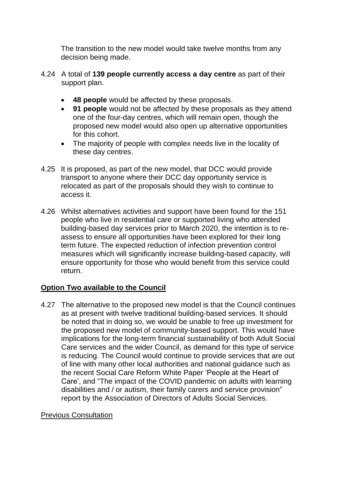The transition to the new model would take twelve months from any decision being made.

- 4.24 A total of **139 people currently access a day centre** as part of their support plan.
	- **48 people** would be affected by these proposals.
	- **91 people** would not be affected by these proposals as they attend one of the four-day centres, which will remain open, though the proposed new model would also open up alternative opportunities for this cohort.
	- The majority of people with complex needs live in the locality of these day centres.
- 4.25 It is proposed, as part of the new model, that DCC would provide transport to anyone where their DCC day opportunity service is relocated as part of the proposals should they wish to continue to access it.
- 4.26 Whilst alternatives activities and support have been found for the 151 people who live in residential care or supported living who attended building-based day services prior to March 2020, the intention is to reassess to ensure all opportunities have been explored for their long term future. The expected reduction of infection prevention control measures which will significantly increase building-based capacity, will ensure opportunity for those who would benefit from this service could return.

# **Option Two available to the Council**

4.27 The alternative to the proposed new model is that the Council continues as at present with twelve traditional building-based services. It should be noted that in doing so, we would be unable to free up investment for the proposed new model of community-based support. This would have implications for the long-term financial sustainability of both Adult Social Care services and the wider Council, as demand for this type of service is reducing. The Council would continue to provide services that are out of line with many other local authorities and national guidance such as the recent Social Care Reform White Paper 'People at the Heart of Care', and "The impact of the COVID pandemic on adults with learning disabilities and / or autism, their family carers and service provision" report by the Association of Directors of Adults Social Services.

# Previous Consultation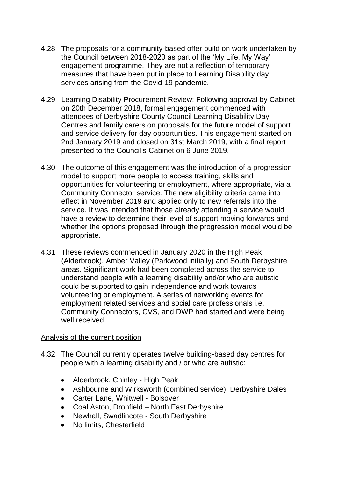- 4.28 The proposals for a community-based offer build on work undertaken by the Council between 2018-2020 as part of the 'My Life, My Way' engagement programme. They are not a reflection of temporary measures that have been put in place to Learning Disability day services arising from the Covid-19 pandemic.
- 4.29 Learning Disability Procurement Review: Following approval by Cabinet on 20th December 2018, formal engagement commenced with attendees of Derbyshire County Council Learning Disability Day Centres and family carers on proposals for the future model of support and service delivery for day opportunities. This engagement started on 2nd January 2019 and closed on 31st March 2019, with a final report presented to the Council's Cabinet on 6 June 2019.
- 4.30 The outcome of this engagement was the introduction of a progression model to support more people to access training, skills and opportunities for volunteering or employment, where appropriate, via a Community Connector service. The new eligibility criteria came into effect in November 2019 and applied only to new referrals into the service. It was intended that those already attending a service would have a review to determine their level of support moving forwards and whether the options proposed through the progression model would be appropriate.
- 4.31 These reviews commenced in January 2020 in the High Peak (Alderbrook), Amber Valley (Parkwood initially) and South Derbyshire areas. Significant work had been completed across the service to understand people with a learning disability and/or who are autistic could be supported to gain independence and work towards volunteering or employment. A series of networking events for employment related services and social care professionals i.e. Community Connectors, CVS, and DWP had started and were being well received.

#### Analysis of the current position

- 4.32 The Council currently operates twelve building-based day centres for people with a learning disability and / or who are autistic:
	- Alderbrook, Chinley High Peak
	- Ashbourne and Wirksworth (combined service), Derbyshire Dales
	- Carter Lane, Whitwell Bolsover
	- Coal Aston, Dronfield North East Derbyshire
	- Newhall, Swadlincote South Derbyshire
	- No limits, Chesterfield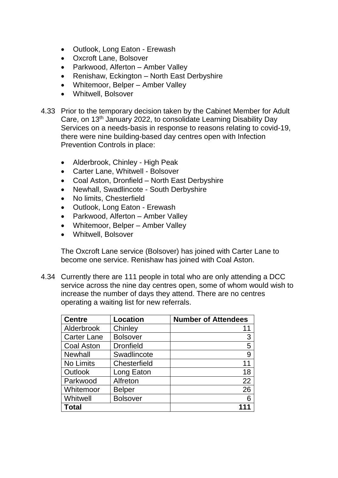- Outlook, Long Eaton Erewash
- Oxcroft Lane, Bolsover
- Parkwood, Alferton Amber Valley
- Renishaw, Eckington North East Derbyshire
- Whitemoor, Belper Amber Valley
- Whitwell, Bolsover
- 4.33 Prior to the temporary decision taken by the Cabinet Member for Adult Care, on 13th January 2022, to consolidate Learning Disability Day Services on a needs-basis in response to reasons relating to covid-19, there were nine building-based day centres open with Infection Prevention Controls in place:
	- Alderbrook, Chinley High Peak
	- Carter Lane, Whitwell Bolsover
	- Coal Aston, Dronfield North East Derbyshire
	- Newhall, Swadlincote South Derbyshire
	- No limits, Chesterfield
	- Outlook, Long Eaton Erewash
	- Parkwood, Alferton Amber Valley
	- Whitemoor, Belper Amber Valley
	- Whitwell, Bolsover

The Oxcroft Lane service (Bolsover) has joined with Carter Lane to become one service. Renishaw has joined with Coal Aston.

4.34 Currently there are 111 people in total who are only attending a DCC service across the nine day centres open, some of whom would wish to increase the number of days they attend. There are no centres operating a waiting list for new referrals.

| <b>Centre</b>      | <b>Location</b>  | <b>Number of Attendees</b> |
|--------------------|------------------|----------------------------|
| Alderbrook         | Chinley          | 11                         |
| <b>Carter Lane</b> | <b>Bolsover</b>  | 3                          |
| <b>Coal Aston</b>  | <b>Dronfield</b> | 5                          |
| <b>Newhall</b>     | Swadlincote      | 9                          |
| No Limits          | Chesterfield     | 11                         |
| <b>Outlook</b>     | Long Eaton       | 18                         |
| Parkwood           | Alfreton         | 22                         |
| Whitemoor          | <b>Belper</b>    | 26                         |
| Whitwell           | <b>Bolsover</b>  | 6                          |
| Total              |                  |                            |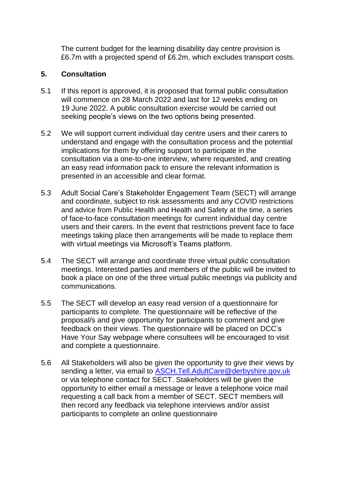The current budget for the learning disability day centre provision is £6.7m with a projected spend of £6.2m, which excludes transport costs.

# **5. Consultation**

- 5.1 If this report is approved, it is proposed that formal public consultation will commence on 28 March 2022 and last for 12 weeks ending on 19 June 2022. A public consultation exercise would be carried out seeking people's views on the two options being presented.
- 5.2 We will support current individual day centre users and their carers to understand and engage with the consultation process and the potential implications for them by offering support to participate in the consultation via a one-to-one interview, where requested, and creating an easy read information pack to ensure the relevant information is presented in an accessible and clear format.
- 5.3 Adult Social Care's Stakeholder Engagement Team (SECT) will arrange and coordinate, subject to risk assessments and any COVID restrictions and advice from Public Health and Health and Safety at the time, a series of face-to-face consultation meetings for current individual day centre users and their carers. In the event that restrictions prevent face to face meetings taking place then arrangements will be made to replace them with virtual meetings via Microsoft's Teams platform.
- 5.4 The SECT will arrange and coordinate three virtual public consultation meetings. Interested parties and members of the public will be invited to book a place on one of the three virtual public meetings via publicity and communications.
- 5.5 The SECT will develop an easy read version of a questionnaire for participants to complete. The questionnaire will be reflective of the proposal/s and give opportunity for participants to comment and give feedback on their views. The questionnaire will be placed on DCC's Have Your Say webpage where consultees will be encouraged to visit and complete a questionnaire.
- 5.6 All Stakeholders will also be given the opportunity to give their views by sending a letter, via email to [ASCH.Tell.AdultCare@derbyshire.gov.uk](mailto:ASCH.Tell.AdultCare@derbyshire.gov.uk) or via telephone contact for SECT. Stakeholders will be given the opportunity to either email a message or leave a telephone voice mail requesting a call back from a member of SECT. SECT members will then record any feedback via telephone interviews and/or assist participants to complete an online questionnaire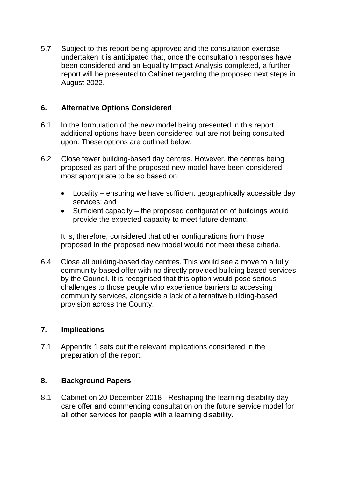5.7 Subject to this report being approved and the consultation exercise undertaken it is anticipated that, once the consultation responses have been considered and an Equality Impact Analysis completed, a further report will be presented to Cabinet regarding the proposed next steps in August 2022.

### **6. Alternative Options Considered**

- 6.1 In the formulation of the new model being presented in this report additional options have been considered but are not being consulted upon. These options are outlined below.
- 6.2 Close fewer building-based day centres. However, the centres being proposed as part of the proposed new model have been considered most appropriate to be so based on:
	- Locality ensuring we have sufficient geographically accessible day services; and
	- Sufficient capacity the proposed configuration of buildings would provide the expected capacity to meet future demand.

It is, therefore, considered that other configurations from those proposed in the proposed new model would not meet these criteria.

6.4 Close all building-based day centres. This would see a move to a fully community-based offer with no directly provided building based services by the Council. It is recognised that this option would pose serious challenges to those people who experience barriers to accessing community services, alongside a lack of alternative building-based provision across the County.

#### **7. Implications**

7.1 Appendix 1 sets out the relevant implications considered in the preparation of the report.

#### **8. Background Papers**

8.1 Cabinet on 20 December 2018 - Reshaping the learning disability day care offer and commencing consultation on the future service model for all other services for people with a learning disability.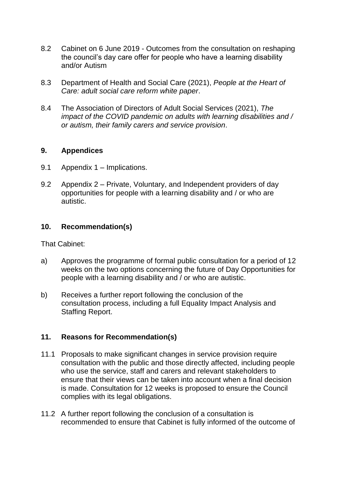- 8.2 Cabinet on 6 June 2019 Outcomes from the consultation on reshaping the council's day care offer for people who have a learning disability and/or Autism
- 8.3 Department of Health and Social Care (2021), *People at the Heart of Care: adult social care reform white paper*.
- 8.4 The Association of Directors of Adult Social Services (2021), *The impact of the COVID pandemic on adults with learning disabilities and / or autism, their family carers and service provision*.

#### **9. Appendices**

- 9.1 Appendix 1 Implications.
- 9.2 Appendix 2 Private, Voluntary, and Independent providers of day opportunities for people with a learning disability and / or who are autistic.

### **10. Recommendation(s)**

That Cabinet:

- a) Approves the programme of formal public consultation for a period of 12 weeks on the two options concerning the future of Day Opportunities for people with a learning disability and / or who are autistic.
- b) Receives a further report following the conclusion of the consultation process, including a full Equality Impact Analysis and Staffing Report.

# **11. Reasons for Recommendation(s)**

- 11.1 Proposals to make significant changes in service provision require consultation with the public and those directly affected, including people who use the service, staff and carers and relevant stakeholders to ensure that their views can be taken into account when a final decision is made. Consultation for 12 weeks is proposed to ensure the Council complies with its legal obligations.
- 11.2 A further report following the conclusion of a consultation is recommended to ensure that Cabinet is fully informed of the outcome of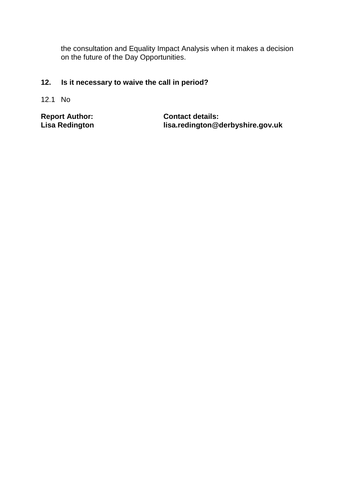the consultation and Equality Impact Analysis when it makes a decision on the future of the Day Opportunities.

# **12. Is it necessary to waive the call in period?**

12.1 No

**Report Author: Contact details:**<br> **Lisa Redington**<br> **Contact details:**<br> **Contact details: Lisa Redington lisa.redington@derbyshire.gov.uk**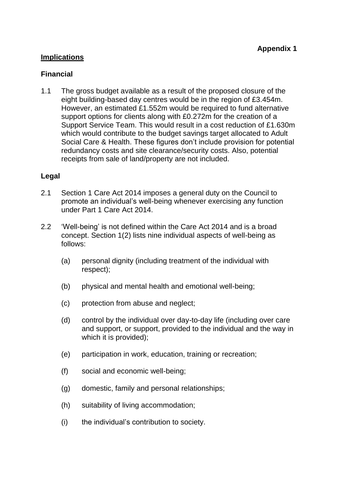# **Implications**

### **Financial**

1.1 The gross budget available as a result of the proposed closure of the eight building-based day centres would be in the region of £3.454m. However, an estimated £1.552m would be required to fund alternative support options for clients along with £0.272m for the creation of a Support Service Team. This would result in a cost reduction of £1.630m which would contribute to the budget savings target allocated to Adult Social Care & Health. These figures don't include provision for potential redundancy costs and site clearance/security costs. Also, potential receipts from sale of land/property are not included.

### **Legal**

- 2.1 Section 1 Care Act 2014 imposes a general duty on the Council to promote an individual's well-being whenever exercising any function under Part 1 Care Act 2014.
- 2.2 'Well-being' is not defined within the Care Act 2014 and is a broad concept. Section 1(2) lists nine individual aspects of well-being as follows:
	- (a) personal dignity (including treatment of the individual with respect);
	- (b) physical and mental health and emotional well-being;
	- (c) protection from abuse and neglect;
	- (d) control by the individual over day-to-day life (including over care and support, or support, provided to the individual and the way in which it is provided);
	- (e) participation in work, education, training or recreation;
	- (f) social and economic well-being;
	- (g) domestic, family and personal relationships;
	- (h) suitability of living accommodation;
	- (i) the individual's contribution to society.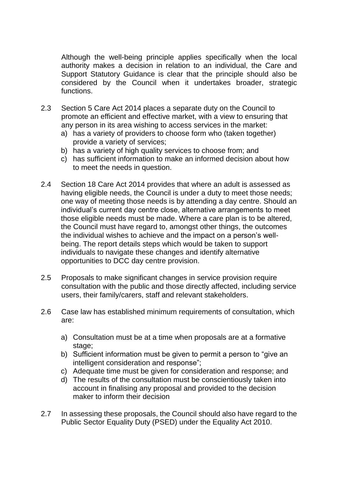Although the well-being principle applies specifically when the local authority makes a decision in relation to an individual, the Care and Support Statutory Guidance is clear that the principle should also be considered by the Council when it undertakes broader, strategic functions.

- 2.3 Section 5 Care Act 2014 places a separate duty on the Council to promote an efficient and effective market, with a view to ensuring that any person in its area wishing to access services in the market:
	- a) has a variety of providers to choose form who (taken together) provide a variety of services;
	- b) has a variety of high quality services to choose from; and
	- c) has sufficient information to make an informed decision about how to meet the needs in question.
- 2.4 Section 18 Care Act 2014 provides that where an adult is assessed as having eligible needs, the Council is under a duty to meet those needs; one way of meeting those needs is by attending a day centre. Should an individual's current day centre close, alternative arrangements to meet those eligible needs must be made. Where a care plan is to be altered, the Council must have regard to, amongst other things, the outcomes the individual wishes to achieve and the impact on a person's wellbeing. The report details steps which would be taken to support individuals to navigate these changes and identify alternative opportunities to DCC day centre provision.
- 2.5 Proposals to make significant changes in service provision require consultation with the public and those directly affected, including service users, their family/carers, staff and relevant stakeholders.
- 2.6 Case law has established minimum requirements of consultation, which are:
	- a) Consultation must be at a time when proposals are at a formative stage;
	- b) Sufficient information must be given to permit a person to "give an intelligent consideration and response";
	- c) Adequate time must be given for consideration and response; and
	- d) The results of the consultation must be conscientiously taken into account in finalising any proposal and provided to the decision maker to inform their decision
- 2.7 In assessing these proposals, the Council should also have regard to the Public Sector Equality Duty (PSED) under the Equality Act 2010.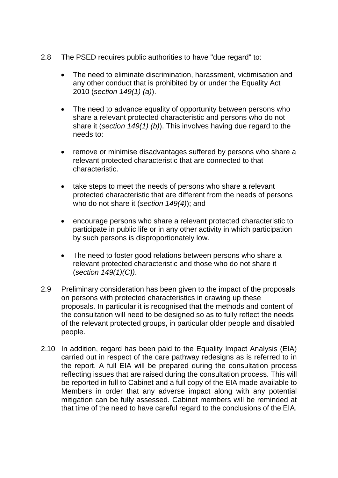- 2.8 The PSED requires public authorities to have "due regard" to:
	- The need to eliminate discrimination, harassment, victimisation and any other conduct that is prohibited by or under the Equality Act 2010 (*section 149(1) (a)*).
	- The need to advance equality of opportunity between persons who share a relevant protected characteristic and persons who do not share it (*section 149(1) (b)*). This involves having due regard to the needs to:
	- remove or minimise disadvantages suffered by persons who share a relevant protected characteristic that are connected to that characteristic.
	- take steps to meet the needs of persons who share a relevant protected characteristic that are different from the needs of persons who do not share it (*section 149(4)*); and
	- encourage persons who share a relevant protected characteristic to participate in public life or in any other activity in which participation by such persons is disproportionately low.
	- The need to foster good relations between persons who share a relevant protected characteristic and those who do not share it (*section 149(1)(C))*.
- 2.9 Preliminary consideration has been given to the impact of the proposals on persons with protected characteristics in drawing up these proposals. In particular it is recognised that the methods and content of the consultation will need to be designed so as to fully reflect the needs of the relevant protected groups, in particular older people and disabled people.
- 2.10 In addition, regard has been paid to the Equality Impact Analysis (EIA) carried out in respect of the care pathway redesigns as is referred to in the report. A full EIA will be prepared during the consultation process reflecting issues that are raised during the consultation process. This will be reported in full to Cabinet and a full copy of the EIA made available to Members in order that any adverse impact along with any potential mitigation can be fully assessed. Cabinet members will be reminded at that time of the need to have careful regard to the conclusions of the EIA.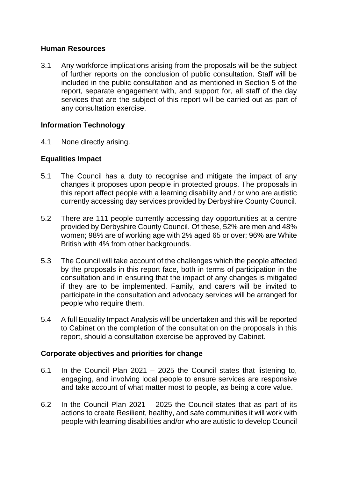### **Human Resources**

3.1 Any workforce implications arising from the proposals will be the subject of further reports on the conclusion of public consultation. Staff will be included in the public consultation and as mentioned in Section 5 of the report, separate engagement with, and support for, all staff of the day services that are the subject of this report will be carried out as part of any consultation exercise.

# **Information Technology**

4.1 None directly arising.

### **Equalities Impact**

- 5.1 The Council has a duty to recognise and mitigate the impact of any changes it proposes upon people in protected groups. The proposals in this report affect people with a learning disability and / or who are autistic currently accessing day services provided by Derbyshire County Council.
- 5.2 There are 111 people currently accessing day opportunities at a centre provided by Derbyshire County Council. Of these, 52% are men and 48% women; 98% are of working age with 2% aged 65 or over; 96% are White British with 4% from other backgrounds.
- 5.3 The Council will take account of the challenges which the people affected by the proposals in this report face, both in terms of participation in the consultation and in ensuring that the impact of any changes is mitigated if they are to be implemented. Family, and carers will be invited to participate in the consultation and advocacy services will be arranged for people who require them.
- 5.4 A full Equality Impact Analysis will be undertaken and this will be reported to Cabinet on the completion of the consultation on the proposals in this report, should a consultation exercise be approved by Cabinet.

# **Corporate objectives and priorities for change**

- 6.1 In the Council Plan 2021 2025 the Council states that listening to, engaging, and involving local people to ensure services are responsive and take account of what matter most to people, as being a core value.
- 6.2 In the Council Plan 2021 2025 the Council states that as part of its actions to create Resilient, healthy, and safe communities it will work with people with learning disabilities and/or who are autistic to develop Council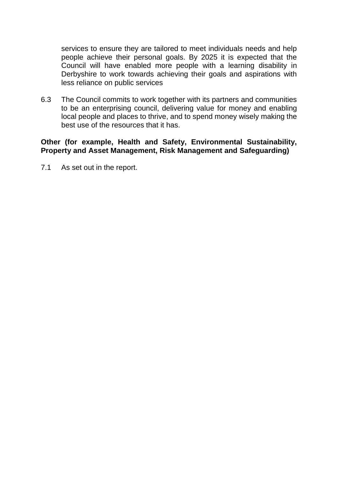services to ensure they are tailored to meet individuals needs and help people achieve their personal goals. By 2025 it is expected that the Council will have enabled more people with a learning disability in Derbyshire to work towards achieving their goals and aspirations with less reliance on public services

6.3 The Council commits to work together with its partners and communities to be an enterprising council, delivering value for money and enabling local people and places to thrive, and to spend money wisely making the best use of the resources that it has.

#### **Other (for example, Health and Safety, Environmental Sustainability, Property and Asset Management, Risk Management and Safeguarding)**

7.1 As set out in the report.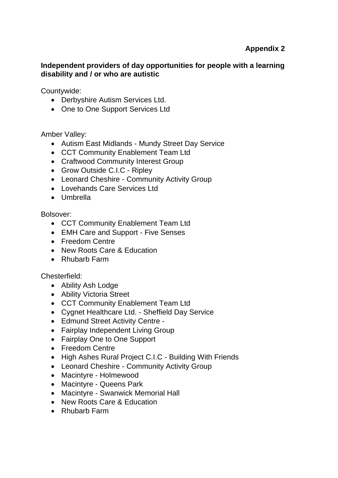# **Independent providers of day opportunities for people with a learning disability and / or who are autistic**

Countywide:

- Derbyshire Autism Services Ltd.
- One to One Support Services Ltd

Amber Valley:

- Autism East Midlands Mundy Street Day Service
- CCT Community Enablement Team Ltd
- Craftwood Community Interest Group
- Grow Outside C.I.C Ripley
- Leonard Cheshire Community Activity Group
- Lovehands Care Services Ltd
- Umbrella

Bolsover:

- CCT Community Enablement Team Ltd
- EMH Care and Support Five Senses
- Freedom Centre
- New Roots Care & Education
- Rhubarb Farm

# Chesterfield:

- Ability Ash Lodge
- Ability Victoria Street
- CCT Community Enablement Team Ltd
- Cygnet Healthcare Ltd. Sheffield Day Service
- Edmund Street Activity Centre -
- Fairplay Independent Living Group
- Fairplay One to One Support
- Freedom Centre
- High Ashes Rural Project C.I.C Building With Friends
- Leonard Cheshire Community Activity Group
- Macintyre Holmewood
- Macintyre Queens Park
- Macintyre Swanwick Memorial Hall
- New Roots Care & Education
- Rhubarb Farm